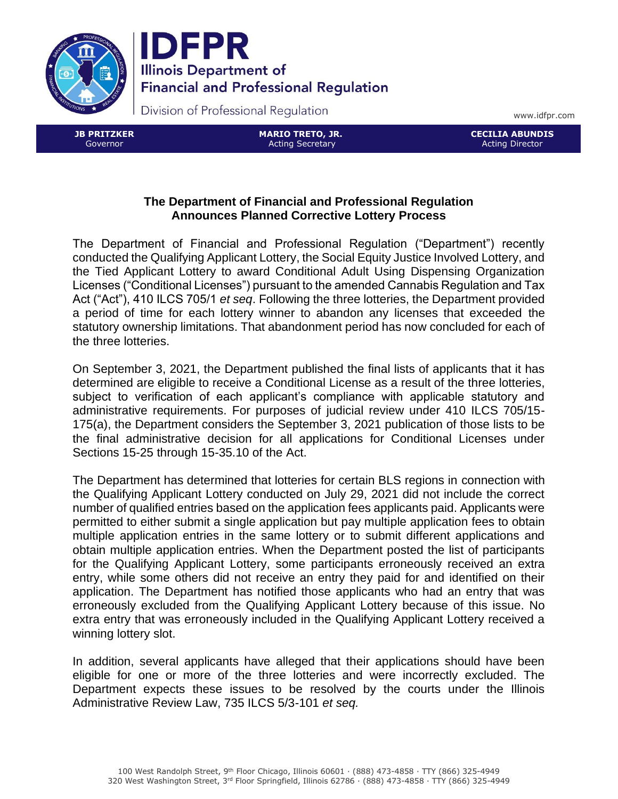



Division of Professional Regulation

www.idfpr.com

**JB PRITZKER** Governor

**MARIO TRETO, JR.** Acting Secretary

**CECILIA ABUNDIS** Acting Director

## **The Department of Financial and Professional Regulation Announces Planned Corrective Lottery Process**

The Department of Financial and Professional Regulation ("Department") recently conducted the Qualifying Applicant Lottery, the Social Equity Justice Involved Lottery, and the Tied Applicant Lottery to award Conditional Adult Using Dispensing Organization Licenses ("Conditional Licenses") pursuant to the amended Cannabis Regulation and Tax Act ("Act"), 410 ILCS 705/1 *et seq*. Following the three lotteries, the Department provided a period of time for each lottery winner to abandon any licenses that exceeded the statutory ownership limitations. That abandonment period has now concluded for each of the three lotteries.

On September 3, 2021, the Department published the final lists of applicants that it has determined are eligible to receive a Conditional License as a result of the three lotteries, subject to verification of each applicant's compliance with applicable statutory and administrative requirements. For purposes of judicial review under 410 ILCS 705/15- 175(a), the Department considers the September 3, 2021 publication of those lists to be the final administrative decision for all applications for Conditional Licenses under Sections 15-25 through 15-35.10 of the Act.

The Department has determined that lotteries for certain BLS regions in connection with the Qualifying Applicant Lottery conducted on July 29, 2021 did not include the correct number of qualified entries based on the application fees applicants paid. Applicants were permitted to either submit a single application but pay multiple application fees to obtain multiple application entries in the same lottery or to submit different applications and obtain multiple application entries. When the Department posted the list of participants for the Qualifying Applicant Lottery, some participants erroneously received an extra entry, while some others did not receive an entry they paid for and identified on their application. The Department has notified those applicants who had an entry that was erroneously excluded from the Qualifying Applicant Lottery because of this issue. No extra entry that was erroneously included in the Qualifying Applicant Lottery received a winning lottery slot.

In addition, several applicants have alleged that their applications should have been eligible for one or more of the three lotteries and were incorrectly excluded. The Department expects these issues to be resolved by the courts under the Illinois Administrative Review Law, 735 ILCS 5/3-101 *et seq.*